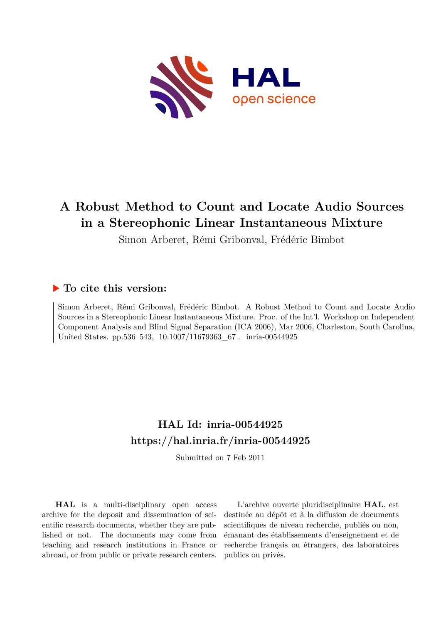

# **A Robust Method to Count and Locate Audio Sources in a Stereophonic Linear Instantaneous Mixture**

Simon Arberet, Rémi Gribonval, Frédéric Bimbot

## **To cite this version:**

Simon Arberet, Rémi Gribonval, Frédéric Bimbot. A Robust Method to Count and Locate Audio Sources in a Stereophonic Linear Instantaneous Mixture. Proc. of the Int'l. Workshop on Independent Component Analysis and Blind Signal Separation (ICA 2006), Mar 2006, Charleston, South Carolina, United States. pp.536–543, 10.1007/11679363 67. inria-00544925

# **HAL Id: inria-00544925 <https://hal.inria.fr/inria-00544925>**

Submitted on 7 Feb 2011

**HAL** is a multi-disciplinary open access archive for the deposit and dissemination of scientific research documents, whether they are published or not. The documents may come from teaching and research institutions in France or abroad, or from public or private research centers.

L'archive ouverte pluridisciplinaire **HAL**, est destinée au dépôt et à la diffusion de documents scientifiques de niveau recherche, publiés ou non, émanant des établissements d'enseignement et de recherche français ou étrangers, des laboratoires publics ou privés.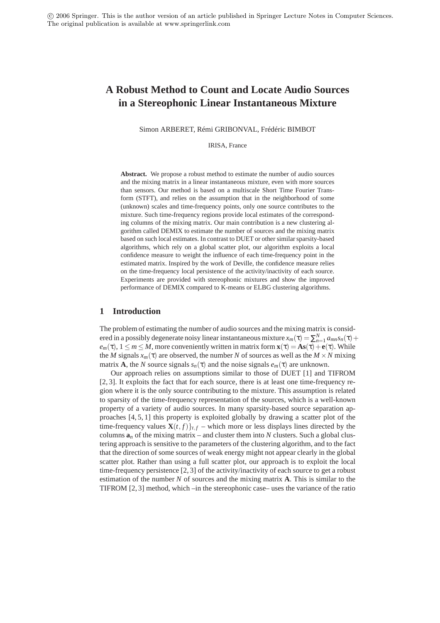## **A Robust Method to Count and Locate Audio Sources in a Stereophonic Linear Instantaneous Mixture**

Simon ARBERET, Rémi GRIBONVAL, Frédéric BIMBOT

IRISA, France

**Abstract.** We propose a robust method to estimate the number of audio sources and the mixing matrix in a linear instantaneous mixture, even with more sources than sensors. Our method is based on a multiscale Short Time Fourier Transform (STFT), and relies on the assumption that in the neighborhood of some (unknown) scales and time-frequency points, only one source contributes to the mixture. Such time-frequency regions provide local estimates of the corresponding columns of the mixing matrix. Our main contribution is a new clustering algorithm called DEMIX to estimate the number of sources and the mixing matrix based on such local estimates. In contrast to DUET or other similar sparsity-based algorithms, which rely on a global scatter plot, our algorithm exploits a local confidence measure to weight the influence of each time-frequency point in the estimated matrix. Inspired by the work of Deville, the confidence measure relies on the time-frequency local persistence of the activity/inactivity of each source. Experiments are provided with stereophonic mixtures and show the improved performance of DEMIX compared to K-means or ELBG clustering algorithms.

## **1 Introduction**

The problem of estimating the number of audio sources and the mixing matrix is considered in a possibly degenerate noisy linear instantaneous mixture  $x_m(\tau) = \sum_{n=1}^{N} a_{mn} s_n(\tau) +$  $e_m(\tau)$ ,  $1 \le m \le M$ , more conveniently written in matrix form  $\mathbf{x}(\tau) = \mathbf{A}\mathbf{s}(\tau) + \mathbf{e}(\tau)$ . While the *M* signals  $x_m(\tau)$  are observed, the number *N* of sources as well as the  $M \times N$  mixing matrix **A**, the *N* source signals  $s_n(\tau)$  and the noise signals  $e_m(\tau)$  are unknown.

Our approach relies on assumptions similar to those of DUET [1] and TIFROM [2, 3]. It exploits the fact that for each source, there is at least one time-frequency region where it is the only source contributing to the mixture. This assumption is related to sparsity of the time-frequency representation of the sources, which is a well-known property of a variety of audio sources. In many sparsity-based source separation approaches [4, 5, 1] this property is exploited globally by drawing a scatter plot of the time-frequency values  $\mathbf{X}(t, f)$ <sub>t</sub>, *f* – which more or less displays lines directed by the columns  $a_n$  of the mixing matrix – and cluster them into N clusters. Such a global clustering approach is sensitive to the parameters of the clustering algorithm, and to the fact that the direction of some sources of weak energy might not appear clearly in the global scatter plot. Rather than using a full scatter plot, our approach is to exploit the local time-frequency persistence [2, 3] of the activity/inactivity of each source to get a robust estimation of the number *N* of sources and the mixing matrix **A**. This is similar to the TIFROM [2, 3] method, which –in the stereophonic case– uses the variance of the ratio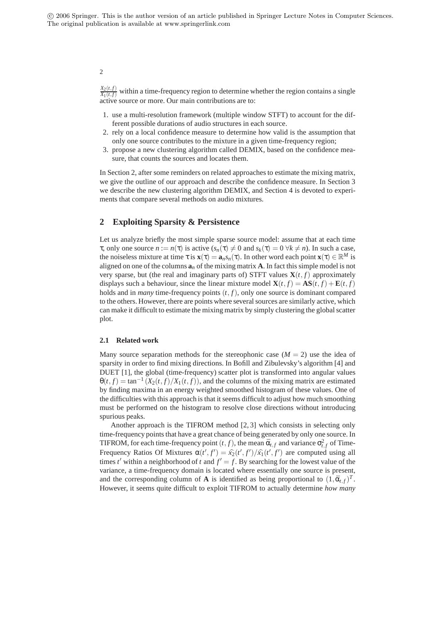#### $X_2(t,f)$  $\frac{X_2(t,f)}{X_1(t,f)}$  within a time-frequency region to determine whether the region contains a single active source or more. Our main contributions are to:

- 1. use a multi-resolution framework (multiple window STFT) to account for the different possible durations of audio structures in each source.
- 2. rely on a local confidence measure to determine how valid is the assumption that only one source contributes to the mixture in a given time-frequency region;
- 3. propose a new clustering algorithm called DEMIX, based on the confidence measure, that counts the sources and locates them.

In Section 2, after some reminders on related approaches to estimate the mixing matrix, we give the outline of our approach and describe the confidence measure. In Section 3 we describe the new clustering algorithm DEMIX, and Section 4 is devoted to experiments that compare several methods on audio mixtures.

## **2 Exploiting Sparsity & Persistence**

Let us analyze briefly the most simple sparse source model: assume that at each time **τ**, only one source  $n := n(\tau)$  is active  $(s_n(\tau) \neq 0$  and  $s_k(\tau) = 0 \ \forall k \neq n$ ). In such a case, the noiseless mixture at time  $\tau$  is  $\mathbf{x}(\tau) = \mathbf{a}_n s_n(\tau)$ . In other word each point  $\mathbf{x}(\tau) \in \mathbb{R}^M$  is aligned on one of the columns  $\mathbf{a}_n$  of the mixing matrix  $\mathbf{A}$ . In fact this simple model is not very sparse, but (the real and imaginary parts of) STFT values  $\mathbf{X}(t, f)$  approximately displays such a behaviour, since the linear mixture model  $\mathbf{X}(t, f) = \mathbf{AS}(t, f) + \mathbf{E}(t, f)$ holds and in *many* time-frequency points (*t*, *f*), only one source is dominant compared to the others. However, there are points where several sources are similarly active, which can make it difficult to estimate the mixing matrix by simply clustering the global scatter plot.

### **2.1 Related work**

Many source separation methods for the stereophonic case  $(M = 2)$  use the idea of sparsity in order to find mixing directions. In Bofill and Zibulevsky's algorithm [4] and DUET [1], the global (time-frequency) scatter plot is transformed into angular values  $\theta(t, f) = \tan^{-1} (X_2(t, f)/X_1(t, f))$ , and the columns of the mixing matrix are estimated by finding maxima in an energy weighted smoothed histogram of these values. One of the difficulties with this approach is that it seems difficult to adjust how much smoothing must be performed on the histogram to resolve close directions without introducing spurious peaks.

Another approach is the TIFROM method [2, 3] which consists in selecting only time-frequency points that have a great chance of being generated by only one source. In TIFROM, for each time-frequency point  $(t, f)$ , the mean  $\bar{\alpha}_{t,f}$  and variance  $\sigma_{t,f}^2$  of Time-Frequency Ratios Of Mixtures  $\alpha(t',t') = \hat{x}_2(t',t') / \hat{x}_1(t',t')$  are computed using all times  $t'$  within a neighborhood of  $t$  and  $f' = f$ . By searching for the lowest value of the variance, a time-frequency domain is located where essentially one source is present, and the corresponding column of **A** is identified as being proportional to  $(1, \bar{\alpha}_{t,f})^T$ . However, it seems quite difficult to exploit TIFROM to actually determine *how many*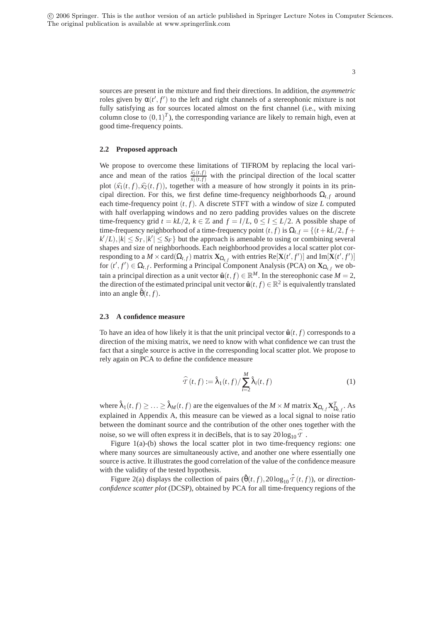> sources are present in the mixture and find their directions. In addition, the *asymmetric* roles given by  $\alpha(t', t')$  to the left and right channels of a stereophonic mixture is not fully satisfying as for sources located almost on the first channel (i.e., with mixing column close to  $(0,1)^T$ ), the corresponding variance are likely to remain high, even at good time-frequency points.

#### **2.2 Proposed approach**

We propose to overcome these limitations of TIFROM by replacing the local variance and mean of the ratios  $\frac{\hat{x}_2(t,f)}{\hat{x}_1(t,f)}$  with the principal direction of the local scatter plot  $(\hat{x}_1(t, f), \hat{x}_2(t, f))$ , together with a measure of how strongly it points in its principal direction. For this, we first define time-frequency neighborhoods  $\Omega_{t,f}$  around each time-frequency point  $(t, f)$ . A discrete STFT with a window of size *L* computed with half overlapping windows and no zero padding provides values on the discrete time-frequency grid  $t = kL/2$ ,  $k \in \mathbb{Z}$  and  $f = l/L$ ,  $0 \le l \le L/2$ . A possible shape of time-frequency neighborhood of a time-frequency point  $(t, f)$  is  $\Omega_{t,f} = \{(t + kL/2, f +$  $k'/L$ ,  $|k| \leq S_T$ ,  $|k'| \leq S_F$  but the approach is amenable to using or combining several shapes and size of neighborhoods. Each neighborhood provides a local scatter plot corresponding to a  $M \times \text{card}(\Omega_{t,f})$  matrix  $\mathbf{X}_{\Omega_{t,f}}$  with entries  $\text{Re}[\mathbf{X}(t',f')]$  and  $\text{Im}[\mathbf{X}(t',f')]$ for  $(t', f') \in \Omega_{t,f}$ . Performing a Principal Component Analysis (PCA) on  $\mathbf{X}_{\Omega_{t,f}}$  we obtain a principal direction as a unit vector  $\hat{\mathbf{u}}(t, f) \in \mathbb{R}^M$ . In the stereophonic case  $M = 2$ , the direction of the estimated principal unit vector  $\hat{\mathbf{u}}(t, f) \in \mathbb{R}^2$  is equivalently translated into an angle  $\hat{\theta}(t, f)$ .

#### **2.3 A confidence measure**

To have an idea of how likely it is that the unit principal vector  $\hat{\mathbf{u}}(t, f)$  corresponds to a direction of the mixing matrix, we need to know with what confidence we can trust the fact that a single source is active in the corresponding local scatter plot. We propose to rely again on PCA to define the confidence measure

$$
\widehat{\mathcal{T}}(t,f) := \widehat{\lambda}_1(t,f) / \sum_{i=2}^{M} \widehat{\lambda}_i(t,f)
$$
\n(1)

where  $\hat{\lambda}_1(t, f) \geq \ldots \geq \hat{\lambda}_M(t, f)$  are the eigenvalues of the  $M \times M$  matrix  $\mathbf{X}_{\Omega_{t, f}} \mathbf{X}_{\Omega_{t, f}}^T$ . As explained in Appendix A, this measure can be viewed as a local signal to noise ratio between the dominant source and the contribution of the other ones together with the noise, so we will often express it in deciBels, that is to say  $20\log_{10}T$ .

Figure 1(a)-(b) shows the local scatter plot in two time-frequency regions: one where many sources are simultaneously active, and another one where essentially one source is active. It illustrates the good correlation of the value of the confidence measure with the validity of the tested hypothesis.

Figure 2(a) displays the collection of pairs  $(\hat{\theta}(t, f), 20 \log_{10} \hat{\tau}(t, f))$ , or *directionconfidence scatter plot* (DCSP), obtained by PCA for all time-frequency regions of the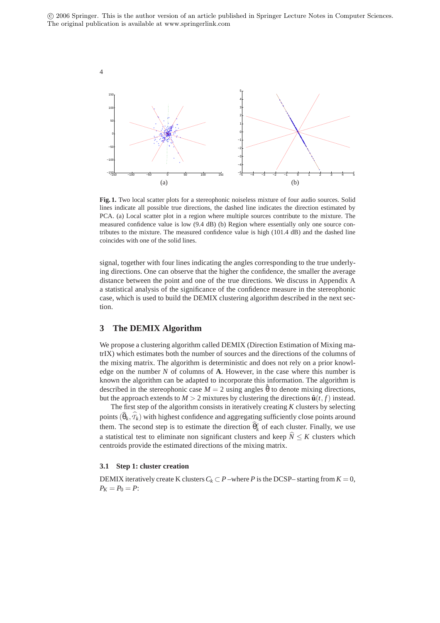

**Fig. 1.** Two local scatter plots for a stereophonic noiseless mixture of four audio sources. Solid lines indicate all possible true directions, the dashed line indicates the direction estimated by PCA. (a) Local scatter plot in a region where multiple sources contribute to the mixture. The measured confidence value is low (9.4 dB) (b) Region where essentially only one source contributes to the mixture. The measured confidence value is high (101.4 dB) and the dashed line coincides with one of the solid lines.

signal, together with four lines indicating the angles corresponding to the true underlying directions. One can observe that the higher the confidence, the smaller the average distance between the point and one of the true directions. We discuss in Appendix A a statistical analysis of the significance of the confidence measure in the stereophonic case, which is used to build the DEMIX clustering algorithm described in the next section.

## **3 The DEMIX Algorithm**

We propose a clustering algorithm called DEMIX (Direction Estimation of Mixing matrIX) which estimates both the number of sources and the directions of the columns of the mixing matrix. The algorithm is deterministic and does not rely on a prior knowledge on the number *N* of columns of **A**. However, in the case where this number is known the algorithm can be adapted to incorporate this information. The algorithm is described in the stereophonic case  $M = 2$  using angles  $\hat{\theta}$  to denote mixing directions, but the approach extends to  $M > 2$  mixtures by clustering the directions  $\hat{\mathbf{u}}(t, f)$  instead.

The first step of the algorithm consists in iteratively creating *K* clusters by selecting points  $(\hat{\theta}_k, \tau_k)$  with highest confidence and aggregating sufficiently close points around them. The second step is to estimate the direction  $\widehat{\theta}_k^c$  of each cluster. Finally, we use a statistical test to eliminate non significant clusters and keep  $\hat{N} \leq K$  clusters which centroids provide the estimated directions of the mixing matrix.

### **3.1 Step 1: cluster creation**

DEMIX iteratively create K clusters  $C_k \subset P$  –where P is the DCSP– starting from  $K = 0$ ,  $P_K = P_0 = P$ :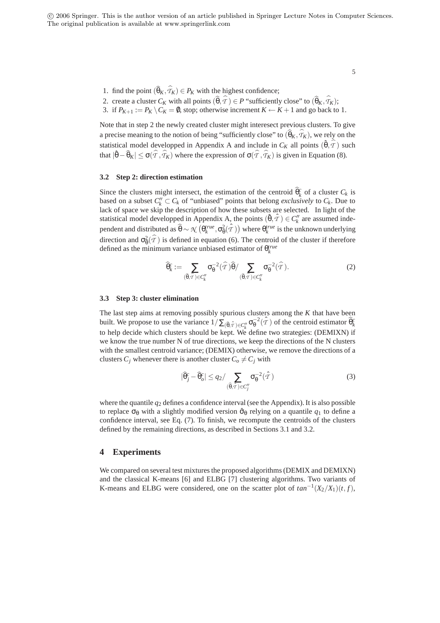5

- 1. find the point  $(\widehat{\theta}_K, \mathcal{T}_K) \in P_K$  with the highest confidence;
- 2. create a cluster  $C_K$  with all points  $(\widehat{\theta}, \mathcal{T}) \in P$  "sufficiently close" to  $(\widehat{\theta}_K, \mathcal{T}_K)$ ;
- 3. if  $P_{K+1} := P_K \setminus C_K = \emptyset$ , stop; otherwise increment  $K \leftarrow K+1$  and go back to 1.

Note that in step 2 the newly created cluster might interesect previous clusters. To give a precise meaning to the notion of being "sufficiently close" to  $(\widehat{\theta}_K, \mathcal{T}_K)$ , we rely on the statistical model developped in Appendix A and include in  $C_K$  all points  $(\hat{\theta}, \hat{\tau})$  such that  $|\hat{\theta} - \hat{\theta}_K| \le \sigma(\hat{T}, \hat{T}_K)$  where the expression of  $\sigma(\hat{T}, \hat{T}_K)$  is given in Equation (8).

#### **3.2 Step 2: direction estimation**

Since the clusters might intersect, the estimation of the centroid  $\widehat{\theta}_k^c$  of a cluster  $C_k$  is based on a subset  $C''_k \subset C_k$  of "unbiased" points that belong *exclusively* to  $C_k$ . Due to lack of space we skip the description of how these subsets are selected. In light of the statistical model developped in Appendix A, the points  $(\hat{\theta}, \hat{\tau}) \in C_k''$  are assumed independent and distributed as  $\widehat{\theta} \sim \mathcal{X}\left(\theta_k^{true}, \sigma_{\theta}^2(\hat{\mathcal{T}})\right)$  where  $\theta_k^{true}$  is the unknown underlying direction and  $\sigma_{\theta}^2(\hat{T})$  is defined in equation (6). The centroid of the cluster if therefore defined as the minimum variance unbiased estimator of  $\theta_k^{true}$ 

$$
\widehat{\theta}_k^c := \sum_{(\widehat{\theta}, \widehat{\tau}) \in C_k''} \sigma_{\theta}^{-2}(\widehat{\tau}) \widehat{\theta} / \sum_{(\widehat{\theta}, \widehat{\tau}) \in C_k''} \sigma_{\theta}^{-2}(\widehat{\tau}). \tag{2}
$$

#### **3.3 Step 3: cluster elimination**

The last step aims at removing possibly spurious clusters among the *K* that have been built. We propose to use the variance  $1/\sum_{(\hat{\theta}, \hat{\tau}) \in C_k''} \sigma_{\theta}^{-2}(\hat{\tau})$  of the centroid estimator  $\hat{\theta}_k^c$ to help decide which clusters should be kept. We define two strategies: (DEMIXN) if we know the true number N of true directions, we keep the directions of the N clusters with the smallest centroid variance; (DEMIX) otherwise, we remove the directions of a clusters  $C_j$  whenever there is another cluster  $C_o \neq C_j$  with

$$
|\widehat{\theta}_{j}^{c} - \widehat{\theta}_{o}^{c}| \leq q_{2} / \sum_{(\widehat{\theta}, \widehat{\tau}) \in C_{j}^{\prime}} \sigma_{\theta}^{-2}(\widehat{\tau})
$$
\n(3)

where the quantile  $q_2$  defines a confidence interval (see the Appendix). It is also possible to replace  $\sigma_{\theta}$  with a slightly modified version  $\hat{\sigma}_{\theta}$  relying on a quantile  $q_1$  to define a confidence interval, see Eq. (7). To finish, we recompute the centroids of the clusters defined by the remaining directions, as described in Sections 3.1 and 3.2.

## **4 Experiments**

We compared on several test mixtures the proposed algorithms (DEMIX and DEMIXN) and the classical K-means [6] and ELBG [7] clustering algorithms. Two variants of K-means and ELBG were considered, one on the scatter plot of  $tan^{-1}(X_2/X_1)(t, f)$ ,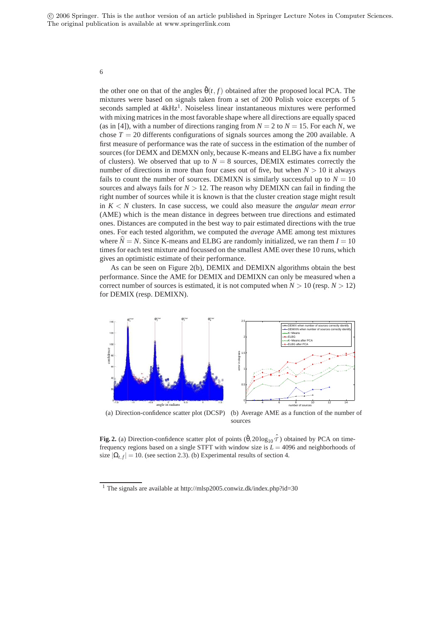6

the other one on that of the angles  $\hat{\theta}(t, f)$  obtained after the proposed local PCA. The mixtures were based on signals taken from a set of 200 Polish voice excerpts of 5 seconds sampled at 4kHz<sup>1</sup>. Noiseless linear instantaneous mixtures were performed with mixing matrices in the most favorable shape where all directions are equally spaced (as in [4]), with a number of directions ranging from  $N = 2$  to  $N = 15$ . For each *N*, we chose  $T = 20$  differents configurations of signals sources among the 200 available. A first measure of performance was the rate of success in the estimation of the number of sources (for DEMX and DEMXN only, because K-means and ELBG have a fix number of clusters). We observed that up to  $N = 8$  sources, DEMIX estimates correctly the number of directions in more than four cases out of five, but when  $N > 10$  it always fails to count the number of sources. DEMIXN is similarly successful up to  $N = 10$ sources and always fails for  $N > 12$ . The reason why DEMIXN can fail in finding the right number of sources while it is known is that the cluster creation stage might result in  $K < N$  clusters. In case success, we could also measure the *angular mean error* (AME) which is the mean distance in degrees between true directions and estimated ones. Distances are computed in the best way to pair estimated directions with the true ones. For each tested algorithm, we computed the *average* AME among test mixtures where  $\hat{N} = N$ . Since K-means and ELBG are randomly initialized, we ran them  $I = 10$ times for each test mixture and focussed on the smallest AME over these 10 runs, which gives an optimistic estimate of their performance.

As can be seen on Figure 2(b), DEMIX and DEMIXN algorithms obtain the best performance. Since the AME for DEMIX and DEMIXN can only be measured when a correct number of sources is estimated, it is not computed when  $N > 10$  (resp.  $N > 12$ ) for DEMIX (resp. DEMIXN).



**Fig. 2.** (a) Direction-confidence scatter plot of points  $(\hat{\theta}, 20\log_{10} \hat{\tau})$  obtained by PCA on timefrequency regions based on a single STFT with window size is *L* = 4096 and neighborhoods of size  $|\Omega_{t,f}| = 10$ . (see section 2.3). (b) Experimental results of section 4.

<sup>&</sup>lt;sup>1</sup> The signals are available at http://mlsp2005.conwiz.dk/index.php?id=30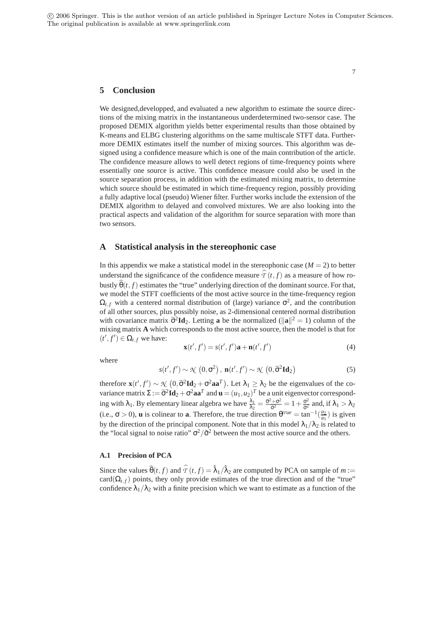### **5 Conclusion**

We designed,developped, and evaluated a new algorithm to estimate the source directions of the mixing matrix in the instantaneous underdetermined two-sensor case. The proposed DEMIX algorithm yields better experimental results than those obtained by K-means and ELBG clustering algorithms on the same multiscale STFT data. Furthermore DEMIX estimates itself the number of mixing sources. This algorithm was designed using a confidence measure which is one of the main contribution of the article. The confidence measure allows to well detect regions of time-frequency points where essentially one source is active. This confidence measure could also be used in the source separation process, in addition with the estimated mixing matrix, to determine which source should be estimated in which time-frequency region, possibly providing a fully adaptive local (pseudo) Wiener filter. Further works include the extension of the DEMIX algorithm to delayed and convolved mixtures. We are also looking into the practical aspects and validation of the algorithm for source separation with more than two sensors.

## **A Statistical analysis in the stereophonic case**

In this appendix we make a statistical model in the stereophonic case  $(M = 2)$  to better understand the significance of the confidence measure  $\mathcal{T}(t, f)$  as a measure of how robustly  $\hat{\theta}(t, f)$  estimates the "true" underlying direction of the dominant source. For that, we model the STFT coefficients of the most active source in the time-frequency region  $\Omega_{t,f}$  with a centered normal distribution of (large) variance  $\sigma^2$ , and the contribution of all other sources, plus possibly noise, as 2-dimensional centered normal distribution with covariance matrix  $\tilde{\sigma}^2 \mathbf{Id}_2$ . Letting **a** be the normalized ( $\|\mathbf{a}\|^2 = 1$ ) column of the mixing matrix **A** which corresponds to the most active source, then the model is that for  $(t', f') \in \Omega_{t,f}$  we have:

$$
\mathbf{x}(t',f') = s(t',f')\mathbf{a} + \mathbf{n}(t',f')
$$
 (4)

where

$$
s(t', f') \sim \mathcal{K}\left(0, \sigma^2\right), \, \mathbf{n}(t', f') \sim \mathcal{K}\left(0, \widetilde{\sigma}^2 \mathbf{Id}_2\right) \tag{5}
$$

therefore  $\mathbf{x}(t',t') \sim \mathcal{N}\left(0, \tilde{\sigma}^2 \mathbf{Id}_2 + \sigma^2 \mathbf{aa}^T\right)$ . Let  $\lambda_1 \geq \lambda_2$  be the eigenvalues of the covariance matrix  $\Sigma := \tilde{\sigma}^2 \mathbf{Id}_2 + \sigma^2 \mathbf{aa}^T$  and  $\mathbf{u} = (u_1, u_2)^T$  be a unit eigenvector corresponding with  $\lambda_1$ . By elementary linear algebra we have  $\frac{\lambda_1}{\lambda_2} = \frac{\tilde{\sigma}^2 + \sigma^2}{\tilde{\sigma}^2} = 1 + \frac{\sigma^2}{\tilde{\sigma}^2}$  and, if  $\lambda_1 > \lambda_2$ (i.e.,  $\sigma > 0$ ), **u** is colinear to **a**. Therefore, the true direction  $\theta^{true} = \tan^{-1}(\frac{a_2}{a_1})$  is given by the direction of the principal component. Note that in this model  $\lambda_1/\lambda_2$  is related to the "local signal to noise ratio"  $\sigma^2/\tilde{\sigma}^2$  between the most active source and the others.

#### **A.1 Precision of PCA**

Since the values  $\widehat{\theta}(t, f)$  and  $\widehat{T}(t, f) = \widehat{\lambda}_1/\widehat{\lambda}_2$  are computed by PCA on sample of  $m :=$ card( $\Omega$ <sub>t f</sub>) points, they only provide estimates of the true direction and of the "true" confidence  $\lambda_1/\lambda_2$  with a finite precision which we want to estimate as a function of the